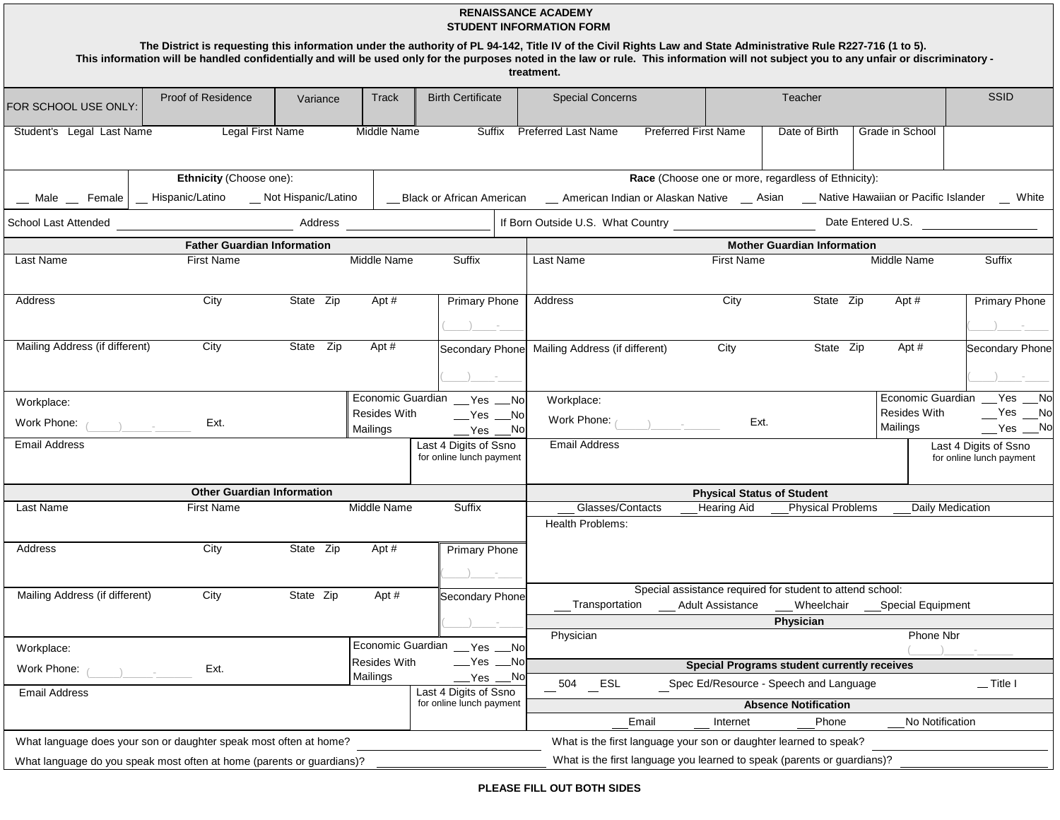| <b>RENAISSANCE ACADEMY</b><br><b>STUDENT INFORMATION FORM</b><br>The District is requesting this information under the authority of PL 94-142, Title IV of the Civil Rights Law and State Administrative Rule R227-716 (1 to 5).<br>This information will be handled confidentially and will be used only for the purposes noted in the law or rule. This information will not subject you to any unfair or discriminatory - |                                                        |                     |                                                                         |                                                                                                                                                                                                                                                                                                                                                                 |                                                                                                                              |                                                                   |                                                                                                                      |                                 |                                                   |  |  |  |
|------------------------------------------------------------------------------------------------------------------------------------------------------------------------------------------------------------------------------------------------------------------------------------------------------------------------------------------------------------------------------------------------------------------------------|--------------------------------------------------------|---------------------|-------------------------------------------------------------------------|-----------------------------------------------------------------------------------------------------------------------------------------------------------------------------------------------------------------------------------------------------------------------------------------------------------------------------------------------------------------|------------------------------------------------------------------------------------------------------------------------------|-------------------------------------------------------------------|----------------------------------------------------------------------------------------------------------------------|---------------------------------|---------------------------------------------------|--|--|--|
|                                                                                                                                                                                                                                                                                                                                                                                                                              |                                                        |                     |                                                                         |                                                                                                                                                                                                                                                                                                                                                                 | treatment.                                                                                                                   |                                                                   |                                                                                                                      |                                 |                                                   |  |  |  |
| FOR SCHOOL USE ONLY:                                                                                                                                                                                                                                                                                                                                                                                                         | Proof of Residence                                     | Variance            | Track                                                                   | <b>Birth Certificate</b>                                                                                                                                                                                                                                                                                                                                        | <b>Special Concerns</b>                                                                                                      |                                                                   | Teacher                                                                                                              |                                 | SSID                                              |  |  |  |
| Student's Legal Last Name                                                                                                                                                                                                                                                                                                                                                                                                    | Legal First Name                                       |                     | Middle Name                                                             |                                                                                                                                                                                                                                                                                                                                                                 | Suffix Preferred Last Name                                                                                                   | <b>Preferred First Name</b>                                       | Date of Birth                                                                                                        | Grade in School                 |                                                   |  |  |  |
| Ethnicity (Choose one):<br>Race (Choose one or more, regardless of Ethnicity):                                                                                                                                                                                                                                                                                                                                               |                                                        |                     |                                                                         |                                                                                                                                                                                                                                                                                                                                                                 |                                                                                                                              |                                                                   |                                                                                                                      |                                 |                                                   |  |  |  |
| $\_$ Male $\_$ Female                                                                                                                                                                                                                                                                                                                                                                                                        | Hispanic/Latino                                        | Not Hispanic/Latino |                                                                         |                                                                                                                                                                                                                                                                                                                                                                 | __ Black or African American ___ American Indian or Alaskan Native __ Asian ___ Native Hawaiian or Pacific Islander __ White |                                                                   |                                                                                                                      |                                 |                                                   |  |  |  |
| School Last Attended                                                                                                                                                                                                                                                                                                                                                                                                         |                                                        | Address             |                                                                         |                                                                                                                                                                                                                                                                                                                                                                 | If Born Outside U.S. What Country                                                                                            |                                                                   |                                                                                                                      |                                 | Date Entered U.S.                                 |  |  |  |
|                                                                                                                                                                                                                                                                                                                                                                                                                              | <b>Father Guardian Information</b>                     |                     |                                                                         |                                                                                                                                                                                                                                                                                                                                                                 |                                                                                                                              | <b>Mother Guardian Information</b>                                |                                                                                                                      |                                 |                                                   |  |  |  |
| <b>Last Name</b>                                                                                                                                                                                                                                                                                                                                                                                                             | First Name                                             |                     | <b>Middle Name</b>                                                      | Suffix                                                                                                                                                                                                                                                                                                                                                          | Last Name                                                                                                                    | First Name                                                        |                                                                                                                      | Middle Name                     | Suffix                                            |  |  |  |
| Address                                                                                                                                                                                                                                                                                                                                                                                                                      | City                                                   | State Zip           | Apt #                                                                   | <b>Primary Phone</b><br>$\left( \begin{array}{ccc} 1 & 1 & 1 \\ 1 & 1 & 1 \\ 1 & 1 & 1 \end{array} \right)$                                                                                                                                                                                                                                                     | Address                                                                                                                      | City                                                              | State Zip                                                                                                            | Apt #                           | <b>Primary Phone</b><br>$\sim$ $-$                |  |  |  |
| Mailing Address (if different)                                                                                                                                                                                                                                                                                                                                                                                               | City                                                   | State Zip           | Apt #                                                                   |                                                                                                                                                                                                                                                                                                                                                                 | Secondary Phone Mailing Address (if different)                                                                               | City                                                              | State Zip                                                                                                            | Apt #                           | Secondary Phone                                   |  |  |  |
| Workplace:                                                                                                                                                                                                                                                                                                                                                                                                                   |                                                        |                     |                                                                         | Economic Guardian __ Yes __ No                                                                                                                                                                                                                                                                                                                                  | Workplace:                                                                                                                   |                                                                   |                                                                                                                      |                                 | Economic Guardian __ Yes __ No                    |  |  |  |
| Work Phone: $($                                                                                                                                                                                                                                                                                                                                                                                                              | Ext.                                                   |                     | Resides With<br>Mailings                                                | $\sqrt{}$ Yes $\sqrt{}$ No<br>$Yes$ $No$                                                                                                                                                                                                                                                                                                                        | Work Phone: $($                                                                                                              | Ext.                                                              |                                                                                                                      | <b>Resides With</b><br>Mailings | $Yes$ $No$<br>$Yes$ $No$                          |  |  |  |
| Email Address                                                                                                                                                                                                                                                                                                                                                                                                                |                                                        |                     |                                                                         | Last 4 Digits of Ssno<br>for online lunch payment                                                                                                                                                                                                                                                                                                               | <b>Email Address</b>                                                                                                         |                                                                   |                                                                                                                      |                                 | Last 4 Digits of Ssno<br>for online lunch payment |  |  |  |
|                                                                                                                                                                                                                                                                                                                                                                                                                              | <b>Other Guardian Information</b>                      |                     | <b>Physical Status of Student</b>                                       |                                                                                                                                                                                                                                                                                                                                                                 |                                                                                                                              |                                                                   |                                                                                                                      |                                 |                                                   |  |  |  |
| Last Name                                                                                                                                                                                                                                                                                                                                                                                                                    | <b>First Name</b>                                      |                     | Middle Name                                                             | Suffix                                                                                                                                                                                                                                                                                                                                                          | Glasses/Contacts                                                                                                             | <b>Hearing Aid</b>                                                | <b>Physical Problems</b>                                                                                             |                                 | Daily Medication                                  |  |  |  |
|                                                                                                                                                                                                                                                                                                                                                                                                                              |                                                        |                     |                                                                         |                                                                                                                                                                                                                                                                                                                                                                 | Health Problems:                                                                                                             |                                                                   |                                                                                                                      |                                 |                                                   |  |  |  |
| Address                                                                                                                                                                                                                                                                                                                                                                                                                      | City                                                   | State Zip           | Apt #                                                                   | <b>Primary Phone</b><br>$\left( \begin{array}{ccc} 0 & 0 & 0 \\ 0 & 0 & 0 \\ 0 & 0 & 0 \\ 0 & 0 & 0 \\ 0 & 0 & 0 \\ 0 & 0 & 0 \\ 0 & 0 & 0 \\ 0 & 0 & 0 \\ 0 & 0 & 0 \\ 0 & 0 & 0 \\ 0 & 0 & 0 \\ 0 & 0 & 0 \\ 0 & 0 & 0 \\ 0 & 0 & 0 & 0 \\ 0 & 0 & 0 & 0 \\ 0 & 0 & 0 & 0 \\ 0 & 0 & 0 & 0 \\ 0 & 0 & 0 & 0 & 0 \\ 0 & 0 & 0 & 0 & 0 \\ 0 & 0 & 0 & 0 & 0 \\$ |                                                                                                                              |                                                                   |                                                                                                                      |                                 |                                                   |  |  |  |
| Mailing Address (if different)                                                                                                                                                                                                                                                                                                                                                                                               | City                                                   | State Zip           | Apt #                                                                   | Secondary Phone                                                                                                                                                                                                                                                                                                                                                 |                                                                                                                              |                                                                   | Special assistance required for student to attend school:<br>Transportation ____ Adult Assistance ____ Wheelchair __ | Special Equipment               |                                                   |  |  |  |
|                                                                                                                                                                                                                                                                                                                                                                                                                              |                                                        |                     |                                                                         |                                                                                                                                                                                                                                                                                                                                                                 |                                                                                                                              |                                                                   | Physician                                                                                                            |                                 |                                                   |  |  |  |
| Workplace:                                                                                                                                                                                                                                                                                                                                                                                                                   |                                                        |                     | Economic Guardian                                                       | _Yes ___No                                                                                                                                                                                                                                                                                                                                                      | Physician                                                                                                                    |                                                                   |                                                                                                                      | Phone Nbr                       |                                                   |  |  |  |
| Work Phone:                                                                                                                                                                                                                                                                                                                                                                                                                  |                                                        |                     | Resides With                                                            | $N$ es $N$ o                                                                                                                                                                                                                                                                                                                                                    | <b>Special Programs student currently receives</b>                                                                           |                                                                   |                                                                                                                      |                                 |                                                   |  |  |  |
| <b>Email Address</b>                                                                                                                                                                                                                                                                                                                                                                                                         | Ext.<br>Mailings<br>_Yes __No<br>Last 4 Digits of Ssno |                     |                                                                         |                                                                                                                                                                                                                                                                                                                                                                 | 504 ESL                                                                                                                      |                                                                   | Spec Ed/Resource - Speech and Language                                                                               |                                 | $\equiv$ Title I                                  |  |  |  |
|                                                                                                                                                                                                                                                                                                                                                                                                                              |                                                        |                     | for online lunch payment                                                |                                                                                                                                                                                                                                                                                                                                                                 |                                                                                                                              | <b>Absence Notification</b>                                       |                                                                                                                      |                                 |                                                   |  |  |  |
|                                                                                                                                                                                                                                                                                                                                                                                                                              |                                                        |                     |                                                                         |                                                                                                                                                                                                                                                                                                                                                                 | Email                                                                                                                        | Internet                                                          | Phone                                                                                                                | No Notification                 |                                                   |  |  |  |
| What language does your son or daughter speak most often at home?                                                                                                                                                                                                                                                                                                                                                            |                                                        |                     |                                                                         |                                                                                                                                                                                                                                                                                                                                                                 |                                                                                                                              | What is the first language your son or daughter learned to speak? |                                                                                                                      |                                 |                                                   |  |  |  |
| What language do you speak most often at home (parents or guardians)?                                                                                                                                                                                                                                                                                                                                                        |                                                        |                     | What is the first language you learned to speak (parents or guardians)? |                                                                                                                                                                                                                                                                                                                                                                 |                                                                                                                              |                                                                   |                                                                                                                      |                                 |                                                   |  |  |  |

## **PLEASE FILL OUT BOTH SIDES**